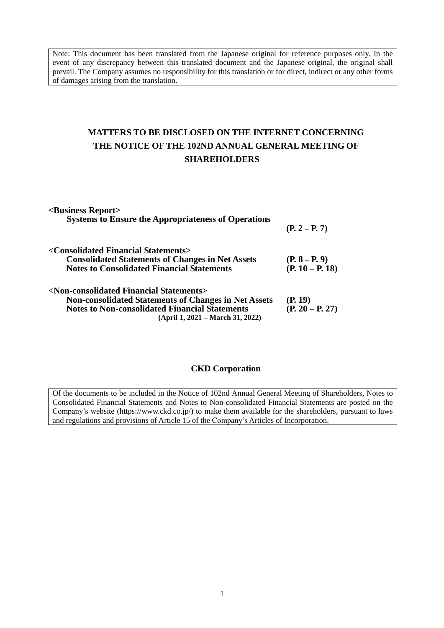Note: This document has been translated from the Japanese original for reference purposes only. In the event of any discrepancy between this translated document and the Japanese original, the original shall prevail. The Company assumes no responsibility for this translation or for direct, indirect or any other forms of damages arising from the translation.

# **MATTERS TO BE DISCLOSED ON THE INTERNET CONCERNING THE NOTICE OF THE 102ND ANNUAL GENERAL MEETING OF SHAREHOLDERS**

| <business report=""><br/><b>Systems to Ensure the Appropriateness of Operations</b></business>                                                                                                                                               | $(P. 2 - P. 7)$                      |
|----------------------------------------------------------------------------------------------------------------------------------------------------------------------------------------------------------------------------------------------|--------------------------------------|
| <consolidated financial="" statements=""><br/><b>Consolidated Statements of Changes in Net Assets</b><br/><b>Notes to Consolidated Financial Statements</b></consolidated>                                                                   | $(P. 8 - P. 9)$<br>$(P. 10 - P. 18)$ |
| <non-consolidated financial="" statements=""><br/><b>Non-consolidated Statements of Changes in Net Assets</b><br/><b>Notes to Non-consolidated Financial Statements</b><br/><math>(April 1, 2021 - March 31, 2022)</math></non-consolidated> | (P. 19)<br>$(P. 20 - P. 27)$         |

# **CKD Corporation**

Of the documents to be included in the Notice of 102nd Annual General Meeting of Shareholders, Notes to Consolidated Financial Statements and Notes to Non-consolidated Financial Statements are posted on the Company's website (https://www.ckd.co.jp/) to make them available for the shareholders, pursuant to laws and regulations and provisions of Article 15 of the Company's Articles of Incorporation.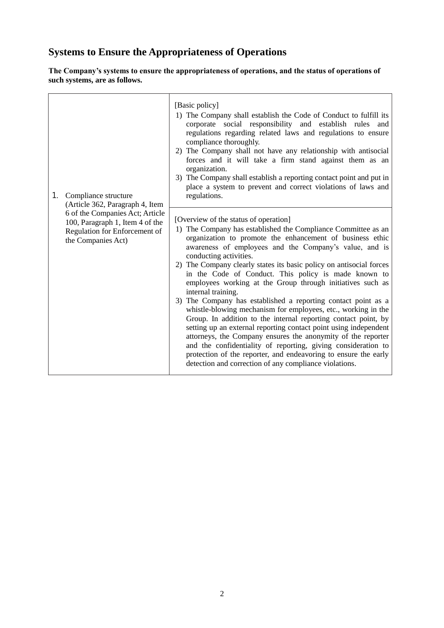# **Systems to Ensure the Appropriateness of Operations**

**The Company's systems to ensure the appropriateness of operations, and the status of operations of such systems, are as follows.**

| 1. | Compliance structure<br>(Article 362, Paragraph 4, Item                                                                   | [Basic policy]<br>1) The Company shall establish the Code of Conduct to fulfill its<br>corporate social responsibility and establish rules<br>and<br>regulations regarding related laws and regulations to ensure<br>compliance thoroughly.<br>2) The Company shall not have any relationship with antisocial<br>forces and it will take a firm stand against them as an<br>organization.<br>3) The Company shall establish a reporting contact point and put in<br>place a system to prevent and correct violations of laws and<br>regulations.                                                                                                                                                                                                                                                                                                                                                                                                                                                                 |
|----|---------------------------------------------------------------------------------------------------------------------------|------------------------------------------------------------------------------------------------------------------------------------------------------------------------------------------------------------------------------------------------------------------------------------------------------------------------------------------------------------------------------------------------------------------------------------------------------------------------------------------------------------------------------------------------------------------------------------------------------------------------------------------------------------------------------------------------------------------------------------------------------------------------------------------------------------------------------------------------------------------------------------------------------------------------------------------------------------------------------------------------------------------|
|    | 6 of the Companies Act; Article<br>100, Paragraph 1, Item 4 of the<br>Regulation for Enforcement of<br>the Companies Act) | [Overview of the status of operation]<br>1) The Company has established the Compliance Committee as an<br>organization to promote the enhancement of business ethic<br>awareness of employees and the Company's value, and is<br>conducting activities.<br>2) The Company clearly states its basic policy on antisocial forces<br>in the Code of Conduct. This policy is made known to<br>employees working at the Group through initiatives such as<br>internal training.<br>3) The Company has established a reporting contact point as a<br>whistle-blowing mechanism for employees, etc., working in the<br>Group. In addition to the internal reporting contact point, by<br>setting up an external reporting contact point using independent<br>attorneys, the Company ensures the anonymity of the reporter<br>and the confidentiality of reporting, giving consideration to<br>protection of the reporter, and endeavoring to ensure the early<br>detection and correction of any compliance violations. |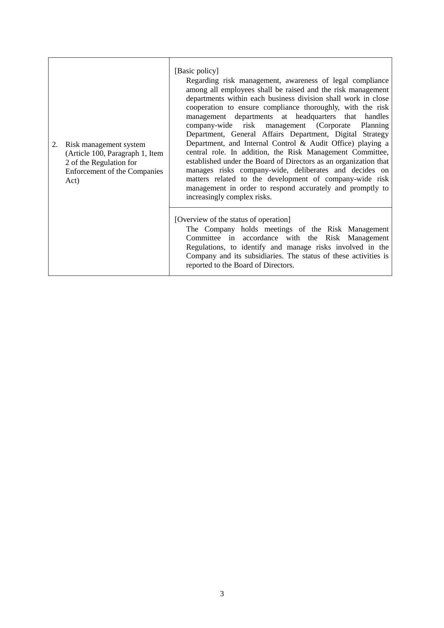| 2. | Risk management system<br>(Article 100, Paragraph 1, Item<br>2 of the Regulation for<br>Enforcement of the Companies<br>Act) | [Basic policy]<br>Regarding risk management, awareness of legal compliance<br>among all employees shall be raised and the risk management<br>departments within each business division shall work in close<br>cooperation to ensure compliance thoroughly, with the risk<br>management departments at headquarters that handles<br>company-wide risk management (Corporate Planning<br>Department, General Affairs Department, Digital Strategy<br>Department, and Internal Control & Audit Office) playing a<br>central role. In addition, the Risk Management Committee,<br>established under the Board of Directors as an organization that<br>manages risks company-wide, deliberates and decides on<br>matters related to the development of company-wide risk<br>management in order to respond accurately and promptly to<br>increasingly complex risks. |
|----|------------------------------------------------------------------------------------------------------------------------------|-----------------------------------------------------------------------------------------------------------------------------------------------------------------------------------------------------------------------------------------------------------------------------------------------------------------------------------------------------------------------------------------------------------------------------------------------------------------------------------------------------------------------------------------------------------------------------------------------------------------------------------------------------------------------------------------------------------------------------------------------------------------------------------------------------------------------------------------------------------------|
|    |                                                                                                                              | [Overview of the status of operation]<br>The Company holds meetings of the Risk Management<br>Committee in accordance with the Risk Management<br>Regulations, to identify and manage risks involved in the<br>Company and its subsidiaries. The status of these activities is<br>reported to the Board of Directors.                                                                                                                                                                                                                                                                                                                                                                                                                                                                                                                                           |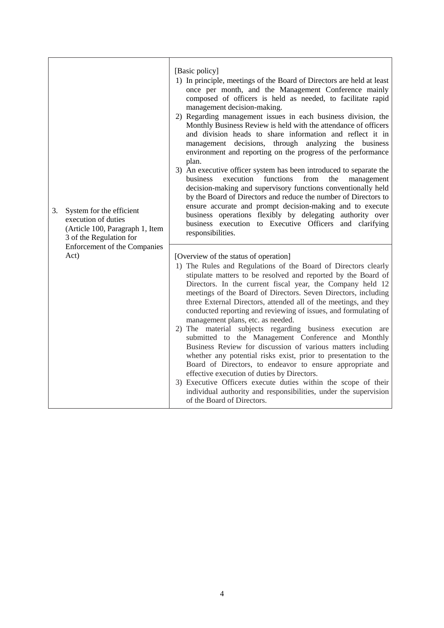| 3. | System for the efficient<br>execution of duties<br>(Article 100, Paragraph 1, Item<br>3 of the Regulation for | [Basic policy]<br>1) In principle, meetings of the Board of Directors are held at least<br>once per month, and the Management Conference mainly<br>composed of officers is held as needed, to facilitate rapid<br>management decision-making.<br>2) Regarding management issues in each business division, the<br>Monthly Business Review is held with the attendance of officers<br>and division heads to share information and reflect it in<br>decisions,<br>through analyzing the business<br>management<br>environment and reporting on the progress of the performance<br>plan.<br>3) An executive officer system has been introduced to separate the<br>execution<br>functions<br>from<br>the<br>business<br>management<br>decision-making and supervisory functions conventionally held<br>by the Board of Directors and reduce the number of Directors to<br>ensure accurate and prompt decision-making and to execute<br>business operations flexibly by delegating authority over<br>business execution to Executive Officers and clarifying<br>responsibilities. |
|----|---------------------------------------------------------------------------------------------------------------|------------------------------------------------------------------------------------------------------------------------------------------------------------------------------------------------------------------------------------------------------------------------------------------------------------------------------------------------------------------------------------------------------------------------------------------------------------------------------------------------------------------------------------------------------------------------------------------------------------------------------------------------------------------------------------------------------------------------------------------------------------------------------------------------------------------------------------------------------------------------------------------------------------------------------------------------------------------------------------------------------------------------------------------------------------------------------|
|    | Enforcement of the Companies<br>Act)                                                                          | [Overview of the status of operation]<br>1) The Rules and Regulations of the Board of Directors clearly<br>stipulate matters to be resolved and reported by the Board of<br>Directors. In the current fiscal year, the Company held 12<br>meetings of the Board of Directors. Seven Directors, including<br>three External Directors, attended all of the meetings, and they<br>conducted reporting and reviewing of issues, and formulating of<br>management plans, etc. as needed.<br>2) The material subjects regarding business execution are<br>submitted to the Management Conference and Monthly<br>Business Review for discussion of various matters including<br>whether any potential risks exist, prior to presentation to the<br>Board of Directors, to endeavor to ensure appropriate and<br>effective execution of duties by Directors.<br>3) Executive Officers execute duties within the scope of their<br>individual authority and responsibilities, under the supervision<br>of the Board of Directors.                                                    |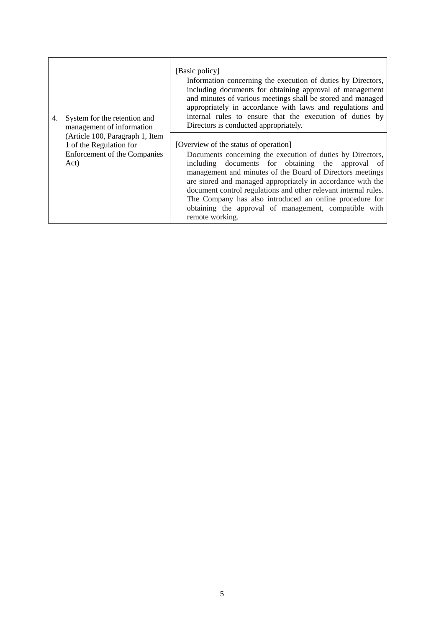| System for the retention and<br>4.<br>management of information                                    | [Basic policy]<br>Information concerning the execution of duties by Directors,<br>including documents for obtaining approval of management<br>and minutes of various meetings shall be stored and managed<br>appropriately in accordance with laws and regulations and<br>internal rules to ensure that the execution of duties by<br>Directors is conducted appropriately.                                                                                                                    |  |  |
|----------------------------------------------------------------------------------------------------|------------------------------------------------------------------------------------------------------------------------------------------------------------------------------------------------------------------------------------------------------------------------------------------------------------------------------------------------------------------------------------------------------------------------------------------------------------------------------------------------|--|--|
| (Article 100, Paragraph 1, Item<br>1 of the Regulation for<br>Enforcement of the Companies<br>Act) | [Overview of the status of operation]<br>Documents concerning the execution of duties by Directors,<br>including documents for obtaining the approval of<br>management and minutes of the Board of Directors meetings<br>are stored and managed appropriately in accordance with the<br>document control regulations and other relevant internal rules.<br>The Company has also introduced an online procedure for<br>obtaining the approval of management, compatible with<br>remote working. |  |  |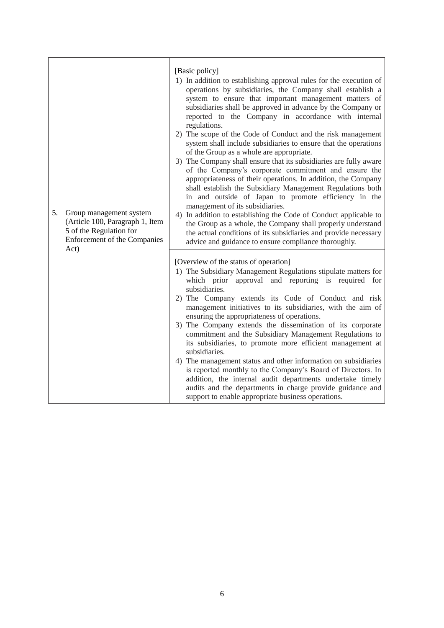| 5.<br>Group management system<br>5 of the Regulation for<br>Enforcement of the Companies<br>Act) | (Article 100, Paragraph 1, Item | [Basic policy]<br>1) In addition to establishing approval rules for the execution of<br>operations by subsidiaries, the Company shall establish a<br>system to ensure that important management matters of<br>subsidiaries shall be approved in advance by the Company or<br>reported to the Company in accordance with internal<br>regulations.<br>2) The scope of the Code of Conduct and the risk management<br>system shall include subsidiaries to ensure that the operations<br>of the Group as a whole are appropriate.<br>3) The Company shall ensure that its subsidiaries are fully aware<br>of the Company's corporate commitment and ensure the<br>appropriateness of their operations. In addition, the Company<br>shall establish the Subsidiary Management Regulations both<br>in and outside of Japan to promote efficiency in the<br>management of its subsidiaries.<br>4) In addition to establishing the Code of Conduct applicable to<br>the Group as a whole, the Company shall properly understand<br>the actual conditions of its subsidiaries and provide necessary<br>advice and guidance to ensure compliance thoroughly. |
|--------------------------------------------------------------------------------------------------|---------------------------------|-----------------------------------------------------------------------------------------------------------------------------------------------------------------------------------------------------------------------------------------------------------------------------------------------------------------------------------------------------------------------------------------------------------------------------------------------------------------------------------------------------------------------------------------------------------------------------------------------------------------------------------------------------------------------------------------------------------------------------------------------------------------------------------------------------------------------------------------------------------------------------------------------------------------------------------------------------------------------------------------------------------------------------------------------------------------------------------------------------------------------------------------------------|
|                                                                                                  |                                 | [Overview of the status of operation]<br>1) The Subsidiary Management Regulations stipulate matters for<br>which prior approval and reporting is required for<br>subsidiaries.<br>2) The Company extends its Code of Conduct and risk<br>management initiatives to its subsidiaries, with the aim of<br>ensuring the appropriateness of operations.<br>3) The Company extends the dissemination of its corporate<br>commitment and the Subsidiary Management Regulations to<br>its subsidiaries, to promote more efficient management at<br>subsidiaries.<br>4) The management status and other information on subsidiaries<br>is reported monthly to the Company's Board of Directors. In<br>addition, the internal audit departments undertake timely<br>audits and the departments in charge provide guidance and<br>support to enable appropriate business operations.                                                                                                                                                                                                                                                                          |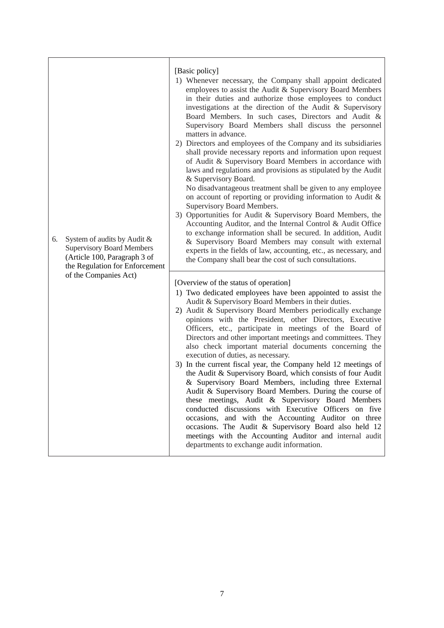| 6. | System of audits by Audit &<br><b>Supervisory Board Members</b><br>(Article 100, Paragraph 3 of<br>the Regulation for Enforcement | [Basic policy]<br>1) Whenever necessary, the Company shall appoint dedicated<br>employees to assist the Audit & Supervisory Board Members<br>in their duties and authorize those employees to conduct<br>investigations at the direction of the Audit & Supervisory<br>Board Members. In such cases, Directors and Audit &<br>Supervisory Board Members shall discuss the personnel<br>matters in advance.<br>2) Directors and employees of the Company and its subsidiaries<br>shall provide necessary reports and information upon request<br>of Audit & Supervisory Board Members in accordance with<br>laws and regulations and provisions as stipulated by the Audit<br>& Supervisory Board.<br>No disadvantageous treatment shall be given to any employee<br>on account of reporting or providing information to Audit &<br>Supervisory Board Members.<br>3) Opportunities for Audit & Supervisory Board Members, the<br>Accounting Auditor, and the Internal Control & Audit Office<br>to exchange information shall be secured. In addition, Audit<br>& Supervisory Board Members may consult with external<br>experts in the fields of law, accounting, etc., as necessary, and<br>the Company shall bear the cost of such consultations. |
|----|-----------------------------------------------------------------------------------------------------------------------------------|-----------------------------------------------------------------------------------------------------------------------------------------------------------------------------------------------------------------------------------------------------------------------------------------------------------------------------------------------------------------------------------------------------------------------------------------------------------------------------------------------------------------------------------------------------------------------------------------------------------------------------------------------------------------------------------------------------------------------------------------------------------------------------------------------------------------------------------------------------------------------------------------------------------------------------------------------------------------------------------------------------------------------------------------------------------------------------------------------------------------------------------------------------------------------------------------------------------------------------------------------------|
|    | of the Companies Act)                                                                                                             | [Overview of the status of operation]<br>1) Two dedicated employees have been appointed to assist the<br>Audit & Supervisory Board Members in their duties.<br>2) Audit & Supervisory Board Members periodically exchange<br>opinions with the President, other Directors, Executive<br>Officers, etc., participate in meetings of the Board of<br>Directors and other important meetings and committees. They<br>also check important material documents concerning the<br>execution of duties, as necessary.<br>3) In the current fiscal year, the Company held 12 meetings of<br>the Audit & Supervisory Board, which consists of four Audit<br>& Supervisory Board Members, including three External<br>Audit & Supervisory Board Members. During the course of<br>these meetings, Audit & Supervisory Board Members<br>conducted discussions with Executive Officers on five<br>occasions, and with the Accounting Auditor on three<br>occasions. The Audit & Supervisory Board also held 12<br>meetings with the Accounting Auditor and internal audit<br>departments to exchange audit information.                                                                                                                                          |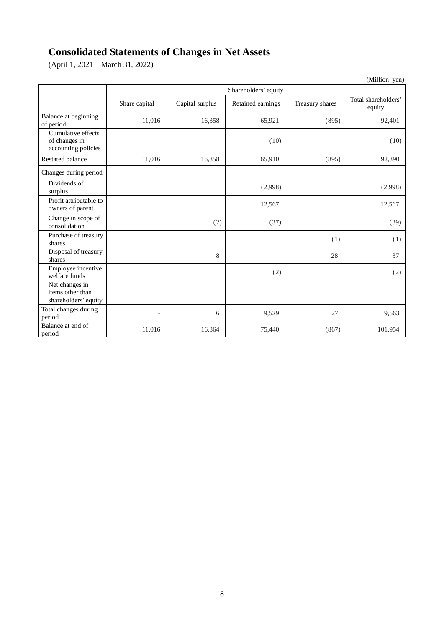# **Consolidated Statements of Changes in Net Assets**

(April 1, 2021 – March 31, 2022)

|                                                            |                          |                 |                   |                 | (Million yen)                 |
|------------------------------------------------------------|--------------------------|-----------------|-------------------|-----------------|-------------------------------|
|                                                            | Shareholders' equity     |                 |                   |                 |                               |
|                                                            | Share capital            | Capital surplus | Retained earnings | Treasury shares | Total shareholders'<br>equity |
| Balance at beginning<br>of period                          | 11,016                   | 16,358          | 65,921            | (895)           | 92,401                        |
| Cumulative effects<br>of changes in<br>accounting policies |                          |                 | (10)              |                 | (10)                          |
| <b>Restated balance</b>                                    | 11,016                   | 16,358          | 65,910            | (895)           | 92,390                        |
| Changes during period                                      |                          |                 |                   |                 |                               |
| Dividends of<br>surplus                                    |                          |                 | (2,998)           |                 | (2,998)                       |
| Profit attributable to<br>owners of parent                 |                          |                 | 12,567            |                 | 12,567                        |
| Change in scope of<br>consolidation                        |                          | (2)             | (37)              |                 | (39)                          |
| Purchase of treasury<br>shares                             |                          |                 |                   | (1)             | (1)                           |
| Disposal of treasury<br>shares                             |                          | 8               |                   | 28              | 37                            |
| Employee incentive<br>welfare funds                        |                          |                 | (2)               |                 | (2)                           |
| Net changes in<br>items other than<br>shareholders' equity |                          |                 |                   |                 |                               |
| Total changes during<br>period                             | $\overline{\phantom{a}}$ | 6               | 9,529             | 27              | 9,563                         |
| Balance at end of<br>period                                | 11,016                   | 16,364          | 75,440            | (867)           | 101,954                       |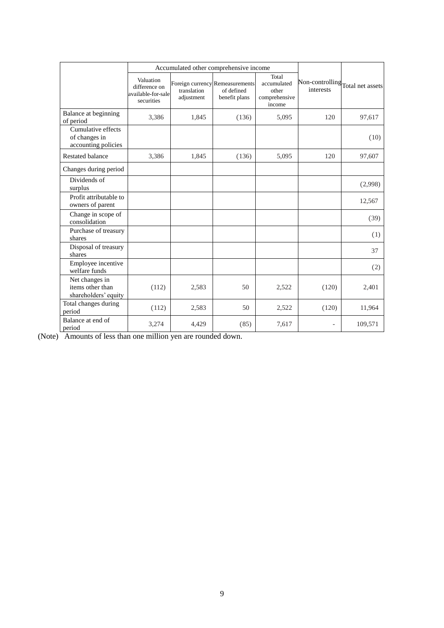|                                                            | Accumulated other comprehensive income                         |                           |                                                                |                                                          |                                               |         |
|------------------------------------------------------------|----------------------------------------------------------------|---------------------------|----------------------------------------------------------------|----------------------------------------------------------|-----------------------------------------------|---------|
|                                                            | Valuation<br>difference on<br>available-for-sale<br>securities | translation<br>adjustment | Foreign currency Remeasurements<br>of defined<br>benefit plans | Total<br>accumulated<br>other<br>comprehensive<br>income | Non-controlling Total net assets<br>interests |         |
| Balance at beginning<br>of period                          | 3,386                                                          | 1,845                     | (136)                                                          | 5,095                                                    | 120                                           | 97,617  |
| Cumulative effects<br>of changes in<br>accounting policies |                                                                |                           |                                                                |                                                          |                                               | (10)    |
| <b>Restated balance</b>                                    | 3,386                                                          | 1,845                     | (136)                                                          | 5,095                                                    | 120                                           | 97,607  |
| Changes during period                                      |                                                                |                           |                                                                |                                                          |                                               |         |
| Dividends of<br>surplus                                    |                                                                |                           |                                                                |                                                          |                                               | (2,998) |
| Profit attributable to<br>owners of parent                 |                                                                |                           |                                                                |                                                          |                                               | 12,567  |
| Change in scope of<br>consolidation                        |                                                                |                           |                                                                |                                                          |                                               | (39)    |
| Purchase of treasury<br>shares                             |                                                                |                           |                                                                |                                                          |                                               | (1)     |
| Disposal of treasury<br>shares                             |                                                                |                           |                                                                |                                                          |                                               | 37      |
| Employee incentive<br>welfare funds                        |                                                                |                           |                                                                |                                                          |                                               | (2)     |
| Net changes in<br>items other than<br>shareholders' equity | (112)                                                          | 2,583                     | 50                                                             | 2,522                                                    | (120)                                         | 2,401   |
| Total changes during<br>period                             | (112)                                                          | 2,583                     | 50                                                             | 2,522                                                    | (120)                                         | 11,964  |
| Balance at end of<br>period                                | 3,274                                                          | 4,429                     | (85)                                                           | 7,617                                                    | $\overline{\phantom{a}}$                      | 109,571 |

(Note) Amounts of less than one million yen are rounded down.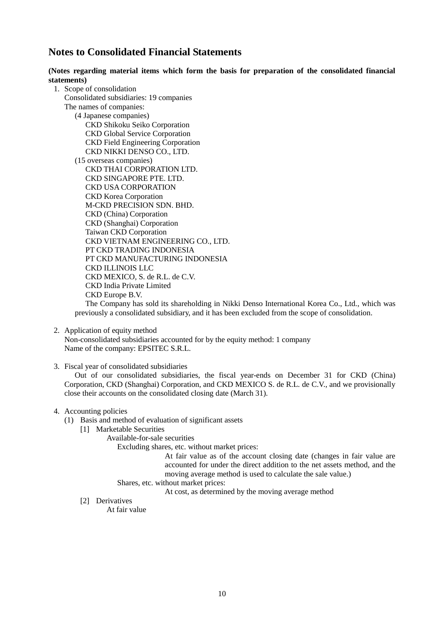# **Notes to Consolidated Financial Statements**

**(Notes regarding material items which form the basis for preparation of the consolidated financial statements)**

1. Scope of consolidation Consolidated subsidiaries: 19 companies The names of companies: (4 Japanese companies) CKD Shikoku Seiko Corporation CKD Global Service Corporation CKD Field Engineering Corporation CKD NIKKI DENSO CO., LTD. (15 overseas companies) CKD THAI CORPORATION LTD. CKD SINGAPORE PTE. LTD. CKD USA CORPORATION CKD Korea Corporation M-CKD PRECISION SDN. BHD. CKD (China) Corporation CKD (Shanghai) Corporation Taiwan CKD Corporation CKD VIETNAM ENGINEERING CO., LTD. PT CKD TRADING INDONESIA PT CKD MANUFACTURING INDONESIA CKD ILLINOIS LLC CKD MEXICO, S. de R.L. de C.V. CKD India Private Limited CKD Europe B.V.

The Company has sold its shareholding in Nikki Denso International Korea Co., Ltd., which was previously a consolidated subsidiary, and it has been excluded from the scope of consolidation.

2. Application of equity method

Non-consolidated subsidiaries accounted for by the equity method: 1 company Name of the company: EPSITEC S.R.L.

3. Fiscal year of consolidated subsidiaries

Out of our consolidated subsidiaries, the fiscal year-ends on December 31 for CKD (China) Corporation, CKD (Shanghai) Corporation, and CKD MEXICO S. de R.L. de C.V., and we provisionally close their accounts on the consolidated closing date (March 31).

## 4. Accounting policies

- (1) Basis and method of evaluation of significant assets
	- [1] Marketable Securities

Available-for-sale securities

Excluding shares, etc. without market prices:

At fair value as of the account closing date (changes in fair value are accounted for under the direct addition to the net assets method, and the moving average method is used to calculate the sale value.)

Shares, etc. without market prices:

At cost, as determined by the moving average method

[2] Derivatives

At fair value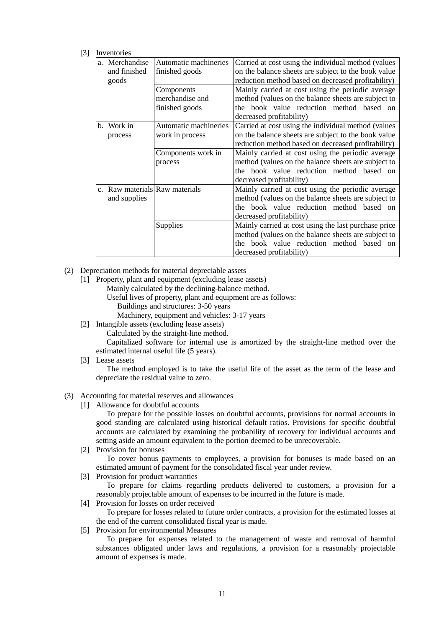### [3] Inventories

| a. Merchandise                 | Automatic machineries | Carried at cost using the individual method (values  |  |  |
|--------------------------------|-----------------------|------------------------------------------------------|--|--|
| and finished                   | finished goods        | on the balance sheets are subject to the book value  |  |  |
| goods                          |                       | reduction method based on decreased profitability)   |  |  |
|                                | Components            | Mainly carried at cost using the periodic average    |  |  |
|                                | merchandise and       | method (values on the balance sheets are subject to  |  |  |
|                                | finished goods        | the book value reduction method based on             |  |  |
|                                |                       | decreased profitability)                             |  |  |
| b. Work in                     | Automatic machineries | Carried at cost using the individual method (values  |  |  |
| process                        | work in process       | on the balance sheets are subject to the book value  |  |  |
|                                |                       | reduction method based on decreased profitability)   |  |  |
|                                | Components work in    | Mainly carried at cost using the periodic average    |  |  |
|                                | process               | method (values on the balance sheets are subject to  |  |  |
|                                |                       | the book value reduction method based on             |  |  |
|                                |                       | decreased profitability)                             |  |  |
| c. Raw materials Raw materials |                       | Mainly carried at cost using the periodic average    |  |  |
| and supplies                   |                       | method (values on the balance sheets are subject to  |  |  |
|                                |                       | book value reduction method based on<br>the          |  |  |
|                                |                       | decreased profitability)                             |  |  |
|                                | Supplies              | Mainly carried at cost using the last purchase price |  |  |
|                                |                       | method (values on the balance sheets are subject to  |  |  |
|                                |                       | the book value reduction method based on             |  |  |
|                                |                       | decreased profitability)                             |  |  |

(2) Depreciation methods for material depreciable assets

- [1] Property, plant and equipment (excluding lease assets)
	- Mainly calculated by the declining-balance method.
	- Useful lives of property, plant and equipment are as follows:
		- Buildings and structures: 3-50 years
		- Machinery, equipment and vehicles: 3-17 years
- [2] Intangible assets (excluding lease assets)
	- Calculated by the straight-line method.

Capitalized software for internal use is amortized by the straight-line method over the estimated internal useful life (5 years).

[3] Lease assets

The method employed is to take the useful life of the asset as the term of the lease and depreciate the residual value to zero.

### (3) Accounting for material reserves and allowances

[1] Allowance for doubtful accounts

To prepare for the possible losses on doubtful accounts, provisions for normal accounts in good standing are calculated using historical default ratios. Provisions for specific doubtful accounts are calculated by examining the probability of recovery for individual accounts and setting aside an amount equivalent to the portion deemed to be unrecoverable.

[2] Provision for bonuses

To cover bonus payments to employees, a provision for bonuses is made based on an estimated amount of payment for the consolidated fiscal year under review.

[3] Provision for product warranties

To prepare for claims regarding products delivered to customers, a provision for a reasonably projectable amount of expenses to be incurred in the future is made.

[4] Provision for losses on order received

To prepare for losses related to future order contracts, a provision for the estimated losses at the end of the current consolidated fiscal year is made.

[5] Provision for environmental Measures

To prepare for expenses related to the management of waste and removal of harmful substances obligated under laws and regulations, a provision for a reasonably projectable amount of expenses is made.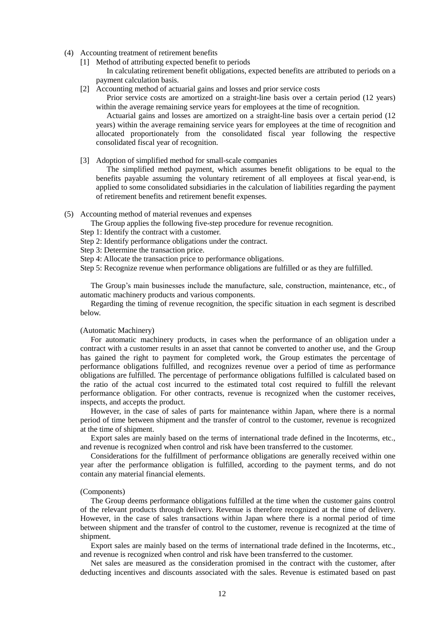- (4) Accounting treatment of retirement benefits
	- [1] Method of attributing expected benefit to periods

In calculating retirement benefit obligations, expected benefits are attributed to periods on a payment calculation basis.

[2] Accounting method of actuarial gains and losses and prior service costs

Prior service costs are amortized on a straight-line basis over a certain period (12 years) within the average remaining service years for employees at the time of recognition.

Actuarial gains and losses are amortized on a straight-line basis over a certain period (12 years) within the average remaining service years for employees at the time of recognition and allocated proportionately from the consolidated fiscal year following the respective consolidated fiscal year of recognition.

[3] Adoption of simplified method for small-scale companies

The simplified method payment, which assumes benefit obligations to be equal to the benefits payable assuming the voluntary retirement of all employees at fiscal year-end, is applied to some consolidated subsidiaries in the calculation of liabilities regarding the payment of retirement benefits and retirement benefit expenses.

(5) Accounting method of material revenues and expenses

The Group applies the following five-step procedure for revenue recognition.

- Step 1: Identify the contract with a customer.
- Step 2: Identify performance obligations under the contract.

Step 3: Determine the transaction price.

Step 4: Allocate the transaction price to performance obligations.

Step 5: Recognize revenue when performance obligations are fulfilled or as they are fulfilled.

The Group's main businesses include the manufacture, sale, construction, maintenance, etc., of automatic machinery products and various components.

Regarding the timing of revenue recognition, the specific situation in each segment is described below.

## (Automatic Machinery)

For automatic machinery products, in cases when the performance of an obligation under a contract with a customer results in an asset that cannot be converted to another use, and the Group has gained the right to payment for completed work, the Group estimates the percentage of performance obligations fulfilled, and recognizes revenue over a period of time as performance obligations are fulfilled. The percentage of performance obligations fulfilled is calculated based on the ratio of the actual cost incurred to the estimated total cost required to fulfill the relevant performance obligation. For other contracts, revenue is recognized when the customer receives, inspects, and accepts the product.

However, in the case of sales of parts for maintenance within Japan, where there is a normal period of time between shipment and the transfer of control to the customer, revenue is recognized at the time of shipment.

Export sales are mainly based on the terms of international trade defined in the Incoterms, etc., and revenue is recognized when control and risk have been transferred to the customer.

Considerations for the fulfillment of performance obligations are generally received within one year after the performance obligation is fulfilled, according to the payment terms, and do not contain any material financial elements.

#### (Components)

The Group deems performance obligations fulfilled at the time when the customer gains control of the relevant products through delivery. Revenue is therefore recognized at the time of delivery. However, in the case of sales transactions within Japan where there is a normal period of time between shipment and the transfer of control to the customer, revenue is recognized at the time of shipment.

Export sales are mainly based on the terms of international trade defined in the Incoterms, etc., and revenue is recognized when control and risk have been transferred to the customer.

Net sales are measured as the consideration promised in the contract with the customer, after deducting incentives and discounts associated with the sales. Revenue is estimated based on past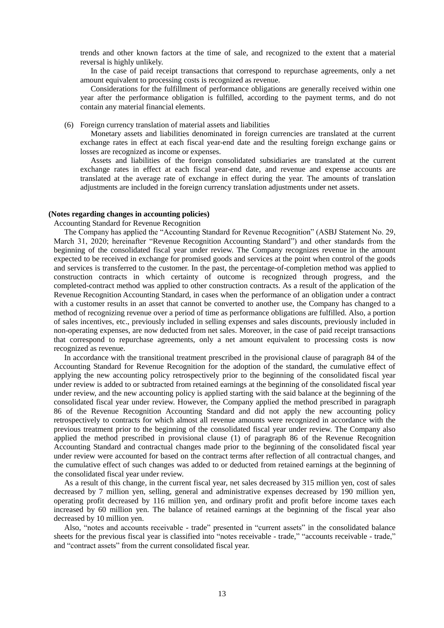trends and other known factors at the time of sale, and recognized to the extent that a material reversal is highly unlikely.

In the case of paid receipt transactions that correspond to repurchase agreements, only a net amount equivalent to processing costs is recognized as revenue.

Considerations for the fulfillment of performance obligations are generally received within one year after the performance obligation is fulfilled, according to the payment terms, and do not contain any material financial elements.

(6) Foreign currency translation of material assets and liabilities

Monetary assets and liabilities denominated in foreign currencies are translated at the current exchange rates in effect at each fiscal year-end date and the resulting foreign exchange gains or losses are recognized as income or expenses.

Assets and liabilities of the foreign consolidated subsidiaries are translated at the current exchange rates in effect at each fiscal year-end date, and revenue and expense accounts are translated at the average rate of exchange in effect during the year. The amounts of translation adjustments are included in the foreign currency translation adjustments under net assets.

#### **(Notes regarding changes in accounting policies)**

Accounting Standard for Revenue Recognition

The Company has applied the "Accounting Standard for Revenue Recognition" (ASBJ Statement No. 29, March 31, 2020; hereinafter "Revenue Recognition Accounting Standard") and other standards from the beginning of the consolidated fiscal year under review. The Company recognizes revenue in the amount expected to be received in exchange for promised goods and services at the point when control of the goods and services is transferred to the customer. In the past, the percentage-of-completion method was applied to construction contracts in which certainty of outcome is recognized through progress, and the completed-contract method was applied to other construction contracts. As a result of the application of the Revenue Recognition Accounting Standard, in cases when the performance of an obligation under a contract with a customer results in an asset that cannot be converted to another use, the Company has changed to a method of recognizing revenue over a period of time as performance obligations are fulfilled. Also, a portion of sales incentives, etc., previously included in selling expenses and sales discounts, previously included in non-operating expenses, are now deducted from net sales. Moreover, in the case of paid receipt transactions that correspond to repurchase agreements, only a net amount equivalent to processing costs is now recognized as revenue.

In accordance with the transitional treatment prescribed in the provisional clause of paragraph 84 of the Accounting Standard for Revenue Recognition for the adoption of the standard, the cumulative effect of applying the new accounting policy retrospectively prior to the beginning of the consolidated fiscal year under review is added to or subtracted from retained earnings at the beginning of the consolidated fiscal year under review, and the new accounting policy is applied starting with the said balance at the beginning of the consolidated fiscal year under review. However, the Company applied the method prescribed in paragraph 86 of the Revenue Recognition Accounting Standard and did not apply the new accounting policy retrospectively to contracts for which almost all revenue amounts were recognized in accordance with the previous treatment prior to the beginning of the consolidated fiscal year under review. The Company also applied the method prescribed in provisional clause (1) of paragraph 86 of the Revenue Recognition Accounting Standard and contractual changes made prior to the beginning of the consolidated fiscal year under review were accounted for based on the contract terms after reflection of all contractual changes, and the cumulative effect of such changes was added to or deducted from retained earnings at the beginning of the consolidated fiscal year under review.

As a result of this change, in the current fiscal year, net sales decreased by 315 million yen, cost of sales decreased by 7 million yen, selling, general and administrative expenses decreased by 190 million yen, operating profit decreased by 116 million yen, and ordinary profit and profit before income taxes each increased by 60 million yen. The balance of retained earnings at the beginning of the fiscal year also decreased by 10 million yen.

Also, "notes and accounts receivable - trade" presented in "current assets" in the consolidated balance sheets for the previous fiscal year is classified into "notes receivable - trade," "accounts receivable - trade," and "contract assets" from the current consolidated fiscal year.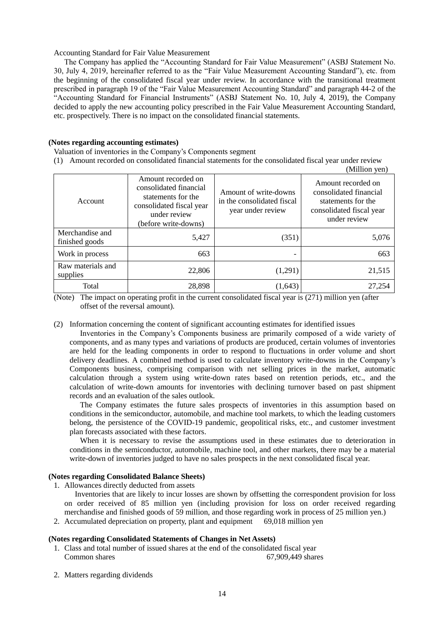#### Accounting Standard for Fair Value Measurement

The Company has applied the "Accounting Standard for Fair Value Measurement" (ASBJ Statement No. 30, July 4, 2019, hereinafter referred to as the "Fair Value Measurement Accounting Standard"), etc. from the beginning of the consolidated fiscal year under review. In accordance with the transitional treatment prescribed in paragraph 19 of the "Fair Value Measurement Accounting Standard" and paragraph 44-2 of the "Accounting Standard for Financial Instruments" (ASBJ Statement No. 10, July 4, 2019), the Company decided to apply the new accounting policy prescribed in the Fair Value Measurement Accounting Standard, etc. prospectively. There is no impact on the consolidated financial statements.

### **(Notes regarding accounting estimates)**

- Valuation of inventories in the Company's Components segment
- (1) Amount recorded on consolidated financial statements for the consolidated fiscal year under review

|                                   |                                                                                                                                        |                                                                          | (Million yen)                                                                                                  |
|-----------------------------------|----------------------------------------------------------------------------------------------------------------------------------------|--------------------------------------------------------------------------|----------------------------------------------------------------------------------------------------------------|
| Account                           | Amount recorded on<br>consolidated financial<br>statements for the<br>consolidated fiscal year<br>under review<br>(before write-downs) | Amount of write-downs<br>in the consolidated fiscal<br>year under review | Amount recorded on<br>consolidated financial<br>statements for the<br>consolidated fiscal year<br>under review |
| Merchandise and<br>finished goods | 5,427                                                                                                                                  | (351)                                                                    | 5,076                                                                                                          |
| Work in process                   | 663                                                                                                                                    |                                                                          | 663                                                                                                            |
| Raw materials and<br>supplies     | 22,806                                                                                                                                 | (1,291)                                                                  | 21,515                                                                                                         |
| Total                             | 28,898                                                                                                                                 | (1,643)                                                                  | 27,254                                                                                                         |

(Note) The impact on operating profit in the current consolidated fiscal year is (271) million yen (after offset of the reversal amount).

(2) Information concerning the content of significant accounting estimates for identified issues

Inventories in the Company's Components business are primarily composed of a wide variety of components, and as many types and variations of products are produced, certain volumes of inventories are held for the leading components in order to respond to fluctuations in order volume and short delivery deadlines. A combined method is used to calculate inventory write-downs in the Company's Components business, comprising comparison with net selling prices in the market, automatic calculation through a system using write-down rates based on retention periods, etc., and the calculation of write-down amounts for inventories with declining turnover based on past shipment records and an evaluation of the sales outlook.

The Company estimates the future sales prospects of inventories in this assumption based on conditions in the semiconductor, automobile, and machine tool markets, to which the leading customers belong, the persistence of the COVID-19 pandemic, geopolitical risks, etc., and customer investment plan forecasts associated with these factors.

When it is necessary to revise the assumptions used in these estimates due to deterioration in conditions in the semiconductor, automobile, machine tool, and other markets, there may be a material write-down of inventories judged to have no sales prospects in the next consolidated fiscal year.

## **(Notes regarding Consolidated Balance Sheets)**

1. Allowances directly deducted from assets

Inventories that are likely to incur losses are shown by offsetting the correspondent provision for loss on order received of 85 million yen (including provision for loss on order received regarding merchandise and finished goods of 59 million, and those regarding work in process of 25 million yen.)

2. Accumulated depreciation on property, plant and equipment 69,018 million yen

## **(Notes regarding Consolidated Statements of Changes in Net Assets)**

- 1. Class and total number of issued shares at the end of the consolidated fiscal year Common shares 67,909,449 shares
- 2. Matters regarding dividends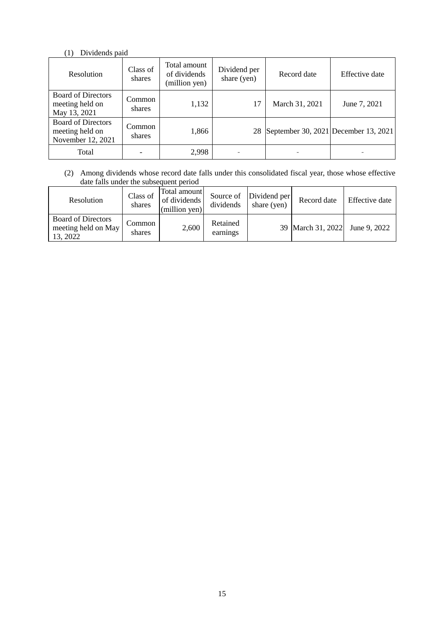## (1) Dividends paid

| Resolution                                                        | Class of<br>shares | Total amount<br>of dividends<br>(million yen) | Dividend per<br>share (yen) | Record date                          | Effective date |
|-------------------------------------------------------------------|--------------------|-----------------------------------------------|-----------------------------|--------------------------------------|----------------|
| <b>Board of Directors</b><br>meeting held on<br>May 13, 2021      | Common<br>shares   | 1,132                                         |                             | March 31, 2021                       | June 7, 2021   |
| <b>Board of Directors</b><br>meeting held on<br>November 12, 2021 | Common<br>shares   | 1,866                                         |                             | September 30, 2021 December 13, 2021 |                |
| Total                                                             |                    | 2,998                                         |                             |                                      |                |

## (2) Among dividends whose record date falls under this consolidated fiscal year, those whose effective date falls under the subsequent period

| Resolution                                                   | Class of<br>shares | Total amount <br>of dividends<br>$(million \text{ yen})$ | Source of<br>dividends | Dividend per<br>share (yen) | Record date         | Effective date |
|--------------------------------------------------------------|--------------------|----------------------------------------------------------|------------------------|-----------------------------|---------------------|----------------|
| <b>Board of Directors</b><br>meeting held on May<br>13, 2022 | Common<br>shares   | 2,600                                                    | Retained<br>earnings   |                             | 39   March 31, 2022 | June 9, 2022   |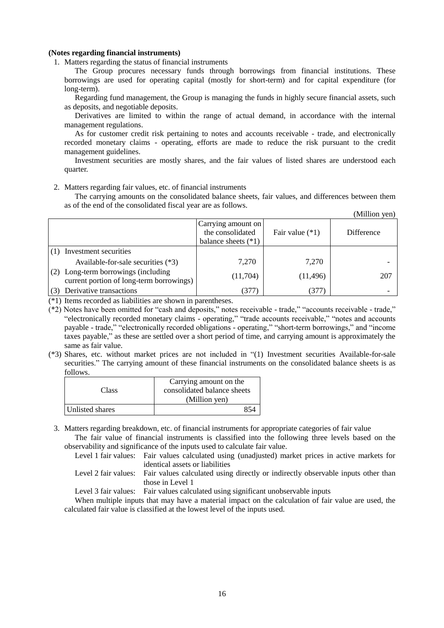## **(Notes regarding financial instruments)**

1. Matters regarding the status of financial instruments

The Group procures necessary funds through borrowings from financial institutions. These borrowings are used for operating capital (mostly for short-term) and for capital expenditure (for long-term).

Regarding fund management, the Group is managing the funds in highly secure financial assets, such as deposits, and negotiable deposits.

Derivatives are limited to within the range of actual demand, in accordance with the internal management regulations.

As for customer credit risk pertaining to notes and accounts receivable - trade, and electronically recorded monetary claims - operating, efforts are made to reduce the risk pursuant to the credit management guidelines.

Investment securities are mostly shares, and the fair values of listed shares are understood each quarter.

#### 2. Matters regarding fair values, etc. of financial instruments

The carrying amounts on the consolidated balance sheets, fair values, and differences between them as of the end of the consolidated fiscal year are as follows.  $(M^2)$ lion yen)

|                                          |                       |                   | нишоп усп) |
|------------------------------------------|-----------------------|-------------------|------------|
|                                          | Carrying amount on    |                   |            |
|                                          | the consolidated      | Fair value $(*1)$ | Difference |
|                                          | balance sheets $(*1)$ |                   |            |
| Investment securities                    |                       |                   |            |
| Available-for-sale securities (*3)       | 7.270                 | 7.270             |            |
| Long-term borrowings (including          | (11,704)              | (11, 496)         | 207        |
| current portion of long-term borrowings) |                       |                   |            |
| Derivative transactions                  | (377)                 | (377)             |            |

(\*1) Items recorded as liabilities are shown in parentheses.

(\*2) Notes have been omitted for "cash and deposits," notes receivable - trade," "accounts receivable - trade," "electronically recorded monetary claims - operating," "trade accounts receivable," "notes and accounts payable - trade," "electronically recorded obligations - operating," "short-term borrowings," and "income taxes payable," as these are settled over a short period of time, and carrying amount is approximately the same as fair value.

(\*3) Shares, etc. without market prices are not included in "(1) Investment securities Available-for-sale securities." The carrying amount of these financial instruments on the consolidated balance sheets is as follows.

| Class           | Carrying amount on the<br>consolidated balance sheets<br>(Million yen) |
|-----------------|------------------------------------------------------------------------|
| Unlisted shares |                                                                        |

3. Matters regarding breakdown, etc. of financial instruments for appropriate categories of fair value

The fair value of financial instruments is classified into the following three levels based on the observability and significance of the inputs used to calculate fair value.

Level 1 fair values: Fair values calculated using (unadjusted) market prices in active markets for identical assets or liabilities

Level 2 fair values: Fair values calculated using directly or indirectly observable inputs other than those in Level 1

Level 3 fair values: Fair values calculated using significant unobservable inputs

When multiple inputs that may have a material impact on the calculation of fair value are used, the calculated fair value is classified at the lowest level of the inputs used.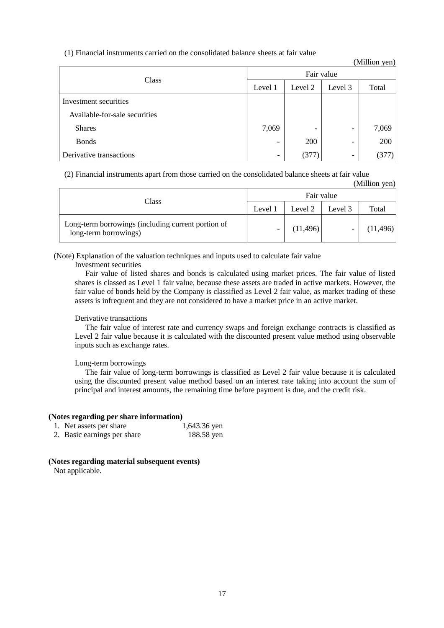## (1) Financial instruments carried on the consolidated balance sheets at fair value

|                               |                          |                          |                          | (Million yen) |  |  |
|-------------------------------|--------------------------|--------------------------|--------------------------|---------------|--|--|
| Class<br>Level 1              |                          | Fair value               |                          |               |  |  |
|                               |                          | Level 2                  | Level 3                  | Total         |  |  |
| Investment securities         |                          |                          |                          |               |  |  |
| Available-for-sale securities |                          |                          |                          |               |  |  |
| <b>Shares</b>                 | 7,069                    | $\overline{\phantom{0}}$ | $\overline{\phantom{0}}$ | 7,069         |  |  |
| <b>Bonds</b>                  | $\overline{\phantom{0}}$ | 200                      | $\overline{\phantom{0}}$ | 200           |  |  |
| Derivative transactions       | $\overline{\phantom{0}}$ | (377)                    | $\overline{\phantom{0}}$ | (377)         |  |  |

(2) Financial instruments apart from those carried on the consolidated balance sheets at fair value

|                                                                             |         |           |            | (Million yen) |
|-----------------------------------------------------------------------------|---------|-----------|------------|---------------|
|                                                                             |         |           | Fair value |               |
| Class                                                                       | Level 1 | Level 2   | Level 3    | Total         |
| Long-term borrowings (including current portion of<br>long-term borrowings) |         | (11, 496) |            | (11, 496)     |

(Note) Explanation of the valuation techniques and inputs used to calculate fair value

## Investment securities

Fair value of listed shares and bonds is calculated using market prices. The fair value of listed shares is classed as Level 1 fair value, because these assets are traded in active markets. However, the fair value of bonds held by the Company is classified as Level 2 fair value, as market trading of these assets is infrequent and they are not considered to have a market price in an active market.

## Derivative transactions

The fair value of interest rate and currency swaps and foreign exchange contracts is classified as Level 2 fair value because it is calculated with the discounted present value method using observable inputs such as exchange rates.

## Long-term borrowings

The fair value of long-term borrowings is classified as Level 2 fair value because it is calculated using the discounted present value method based on an interest rate taking into account the sum of principal and interest amounts, the remaining time before payment is due, and the credit risk.

## **(Notes regarding per share information)**

| 1. Net assets per share     | 1,643.36 yen |
|-----------------------------|--------------|
| 2. Basic earnings per share | 188.58 yen   |

## **(Notes regarding material subsequent events)**

Not applicable.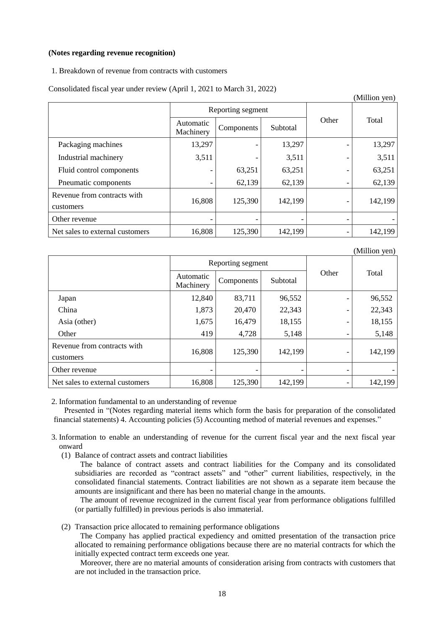## **(Notes regarding revenue recognition)**

1. Breakdown of revenue from contracts with customers

Consolidated fiscal year under review (April 1, 2021 to March 31, 2022)

|                                          |                        |            |          |       | (Million yen) |
|------------------------------------------|------------------------|------------|----------|-------|---------------|
|                                          |                        |            |          |       |               |
|                                          | Automatic<br>Machinery | Components | Subtotal | Other | Total         |
| Packaging machines                       | 13,297                 |            | 13,297   |       | 13,297        |
| Industrial machinery                     | 3,511                  |            | 3,511    |       | 3,511         |
| Fluid control components                 |                        | 63,251     | 63,251   |       | 63,251        |
| Pneumatic components                     |                        | 62,139     | 62,139   |       | 62,139        |
| Revenue from contracts with<br>customers | 16,808                 | 125,390    | 142,199  |       | 142,199       |
| Other revenue                            |                        |            |          | -     |               |
| Net sales to external customers          | 16,808                 | 125,390    | 142,199  |       | 142,199       |

(Million yen)

|                                          |                        | Reporting segment |          |       |         |
|------------------------------------------|------------------------|-------------------|----------|-------|---------|
|                                          | Automatic<br>Machinery | Components        | Subtotal | Other | Total   |
| Japan                                    | 12,840                 | 83,711            | 96,552   |       | 96,552  |
| China                                    | 1,873                  | 20,470            | 22,343   | -     | 22,343  |
| Asia (other)                             | 1,675                  | 16,479            | 18,155   |       | 18,155  |
| Other                                    | 419                    | 4,728             | 5,148    |       | 5,148   |
| Revenue from contracts with<br>customers | 16,808                 | 125,390           | 142,199  | -     | 142,199 |
| Other revenue                            |                        |                   |          |       |         |
| Net sales to external customers          | 16,808                 | 125,390           | 142,199  |       | 142,199 |

2. Information fundamental to an understanding of revenue

Presented in "(Notes regarding material items which form the basis for preparation of the consolidated financial statements) 4. Accounting policies (5) Accounting method of material revenues and expenses."

- 3. Information to enable an understanding of revenue for the current fiscal year and the next fiscal year onward
	- (1) Balance of contract assets and contract liabilities

The balance of contract assets and contract liabilities for the Company and its consolidated subsidiaries are recorded as "contract assets" and "other" current liabilities, respectively, in the consolidated financial statements. Contract liabilities are not shown as a separate item because the amounts are insignificant and there has been no material change in the amounts.

The amount of revenue recognized in the current fiscal year from performance obligations fulfilled (or partially fulfilled) in previous periods is also immaterial.

(2) Transaction price allocated to remaining performance obligations

The Company has applied practical expediency and omitted presentation of the transaction price allocated to remaining performance obligations because there are no material contracts for which the initially expected contract term exceeds one year.

Moreover, there are no material amounts of consideration arising from contracts with customers that are not included in the transaction price.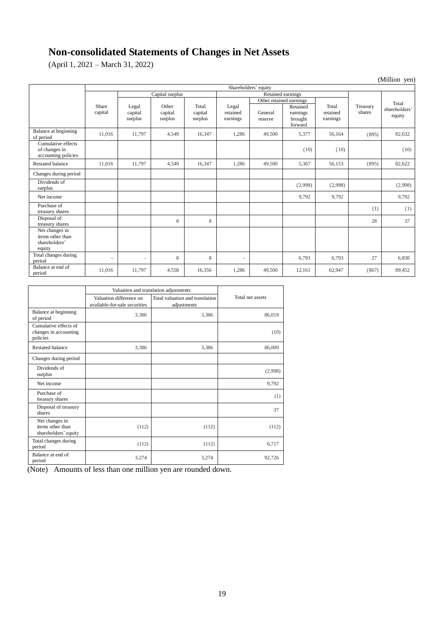# **Non-consolidated Statements of Changes in Net Assets**

(April 1, 2021 – March 31, 2022)

|                                                               |                  |                                      |                             |                             |                               |                    |                                            |                               |                    | (Million yen)           |
|---------------------------------------------------------------|------------------|--------------------------------------|-----------------------------|-----------------------------|-------------------------------|--------------------|--------------------------------------------|-------------------------------|--------------------|-------------------------|
|                                                               |                  |                                      |                             |                             | Shareholders' equity          |                    |                                            |                               |                    |                         |
|                                                               |                  | Capital surplus<br>Retained earnings |                             |                             |                               |                    |                                            |                               |                    |                         |
|                                                               |                  |                                      |                             |                             |                               |                    | Other retained earnings                    |                               |                    | Total                   |
|                                                               | Share<br>capital | Legal<br>capital<br>surplus          | Other<br>capital<br>surplus | Total<br>capital<br>surplus | Legal<br>retained<br>earnings | General<br>reserve | Retained<br>earnings<br>brought<br>forward | Total<br>retained<br>earnings | Treasury<br>shares | shareholders'<br>equity |
| Balance at beginning<br>of period                             | 11,016           | 11,797                               | 4,549                       | 16,347                      | 1,286                         | 49,500             | 5,377                                      | 56,164                        | (895)              | 82,632                  |
| Cumulative effects<br>of changes in<br>accounting policies    |                  |                                      |                             |                             |                               |                    | (10)                                       | (10)                          |                    | (10)                    |
| <b>Restated balance</b>                                       | 11,016           | 11,797                               | 4,549                       | 16,347                      | 1,286                         | 49,500             | 5,367                                      | 56,153                        | (895)              | 82,622                  |
| Changes during period                                         |                  |                                      |                             |                             |                               |                    |                                            |                               |                    |                         |
| Dividends of<br>surplus                                       |                  |                                      |                             |                             |                               |                    | (2,998)                                    | (2,998)                       |                    | (2,998)                 |
| Net income                                                    |                  |                                      |                             |                             |                               |                    | 9,792                                      | 9,792                         |                    | 9,792                   |
| Purchase of<br>treasury shares                                |                  |                                      |                             |                             |                               |                    |                                            |                               | (1)                | (1)                     |
| Disposal of<br>treasury shares                                |                  |                                      | 8                           | 8                           |                               |                    |                                            |                               | 28                 | 37                      |
| Net changes in<br>items other than<br>shareholders'<br>equity |                  |                                      |                             |                             |                               |                    |                                            |                               |                    |                         |
| Total changes during<br>period                                | ٠                | $\overline{\phantom{a}}$             | 8                           | 8                           | ۰.                            |                    | 6,793                                      | 6,793                         | 27                 | 6,830                   |
| Balance at end of<br>period                                   | 11,016           | 11,797                               | 4,558                       | 16,356                      | 1,286                         | 49,500             | 12,161                                     | 62,947                        | (867)              | 89,452                  |

|                                                            | Valuation and translation adjustments                    |                                                |                  |
|------------------------------------------------------------|----------------------------------------------------------|------------------------------------------------|------------------|
|                                                            | Valuation difference on<br>available-for-sale securities | Total valuation and translation<br>adjustments | Total net assets |
| Balance at beginning<br>of period                          | 3,386                                                    | 3,386                                          | 86,019           |
| Cumulative effects of<br>changes in accounting<br>policies |                                                          |                                                | (10)             |
| <b>Restated balance</b>                                    | 3,386                                                    | 3,386                                          | 86,009           |
| Changes during period                                      |                                                          |                                                |                  |
| Dividends of<br>surplus                                    |                                                          |                                                | (2,998)          |
| Net income                                                 |                                                          |                                                | 9,792            |
| Purchase of<br>treasury shares                             |                                                          |                                                | (1)              |
| Disposal of treasury<br>shares                             |                                                          |                                                | 37               |
| Net changes in<br>items other than<br>shareholders' equity | (112)                                                    | (112)                                          | (112)            |
| Total changes during<br>period                             | (112)                                                    | (112)                                          | 6,717            |
| Balance at end of<br>period                                | 3,274                                                    | 3,274                                          | 92,726           |

(Note) Amounts of less than one million yen are rounded down.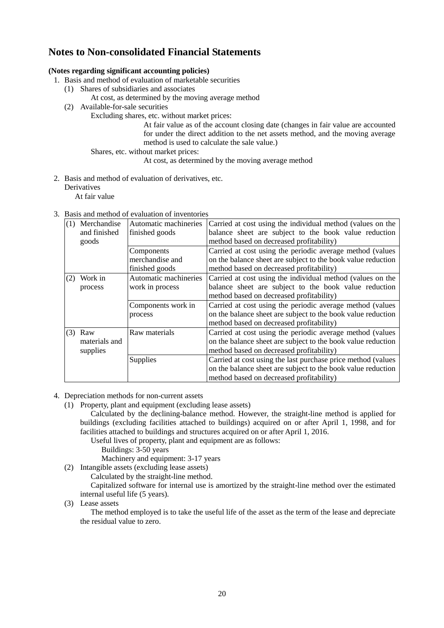# **Notes to Non-consolidated Financial Statements**

## **(Notes regarding significant accounting policies)**

- 1. Basis and method of evaluation of marketable securities
	- (1) Shares of subsidiaries and associates
		- At cost, as determined by the moving average method
	- (2) Available-for-sale securities
		- Excluding shares, etc. without market prices:

At fair value as of the account closing date (changes in fair value are accounted for under the direct addition to the net assets method, and the moving average method is used to calculate the sale value.)

Shares, etc. without market prices:

At cost, as determined by the moving average method

2. Basis and method of evaluation of derivatives, etc.

## **Derivatives**

At fair value

## 3. Basis and method of evaluation of inventories

| (1) | Merchandise   | Automatic machineries | Carried at cost using the individual method (values on the   |  |  |  |
|-----|---------------|-----------------------|--------------------------------------------------------------|--|--|--|
|     | and finished  | finished goods        | balance sheet are subject to the book value reduction        |  |  |  |
|     | goods         |                       | method based on decreased profitability)                     |  |  |  |
|     |               | Components            | Carried at cost using the periodic average method (values    |  |  |  |
|     |               | merchandise and       | on the balance sheet are subject to the book value reduction |  |  |  |
|     |               | finished goods        | method based on decreased profitability)                     |  |  |  |
| (2) | Work in       | Automatic machineries | Carried at cost using the individual method (values on the   |  |  |  |
|     | process       | work in process       | balance sheet are subject to the book value reduction        |  |  |  |
|     |               |                       | method based on decreased profitability)                     |  |  |  |
|     |               | Components work in    | Carried at cost using the periodic average method (values    |  |  |  |
|     |               | process               | on the balance sheet are subject to the book value reduction |  |  |  |
|     |               |                       | method based on decreased profitability)                     |  |  |  |
|     | $(3)$ Raw     | Raw materials         | Carried at cost using the periodic average method (values    |  |  |  |
|     | materials and |                       | on the balance sheet are subject to the book value reduction |  |  |  |
|     | supplies      |                       | method based on decreased profitability)                     |  |  |  |
|     |               | <b>Supplies</b>       | Carried at cost using the last purchase price method (values |  |  |  |
|     |               |                       | on the balance sheet are subject to the book value reduction |  |  |  |
|     |               |                       | method based on decreased profitability)                     |  |  |  |

- 4. Depreciation methods for non-current assets
	- (1) Property, plant and equipment (excluding lease assets)

Calculated by the declining-balance method. However, the straight-line method is applied for buildings (excluding facilities attached to buildings) acquired on or after April 1, 1998, and for facilities attached to buildings and structures acquired on or after April 1, 2016.

Useful lives of property, plant and equipment are as follows:

Buildings: 3-50 years

Machinery and equipment: 3-17 years

(2) Intangible assets (excluding lease assets)

Calculated by the straight-line method.

Capitalized software for internal use is amortized by the straight-line method over the estimated internal useful life (5 years).

(3) Lease assets

The method employed is to take the useful life of the asset as the term of the lease and depreciate the residual value to zero.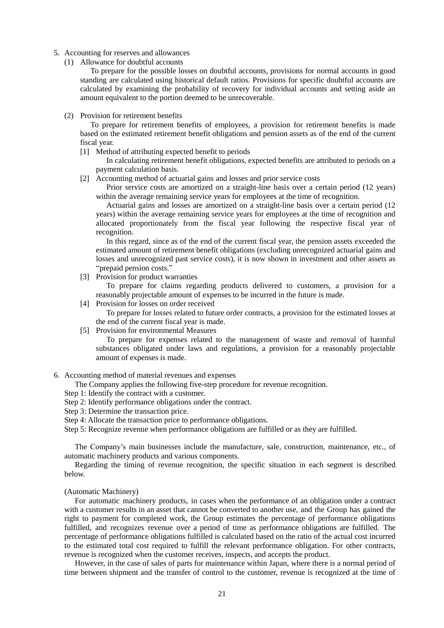- 5. Accounting for reserves and allowances
	- (1) Allowance for doubtful accounts

To prepare for the possible losses on doubtful accounts, provisions for normal accounts in good standing are calculated using historical default ratios. Provisions for specific doubtful accounts are calculated by examining the probability of recovery for individual accounts and setting aside an amount equivalent to the portion deemed to be unrecoverable.

(2) Provision for retirement benefits

To prepare for retirement benefits of employees, a provision for retirement benefits is made based on the estimated retirement benefit obligations and pension assets as of the end of the current fiscal year.

[1] Method of attributing expected benefit to periods

In calculating retirement benefit obligations, expected benefits are attributed to periods on a payment calculation basis.

[2] Accounting method of actuarial gains and losses and prior service costs

Prior service costs are amortized on a straight-line basis over a certain period (12 years) within the average remaining service years for employees at the time of recognition.

Actuarial gains and losses are amortized on a straight-line basis over a certain period (12 years) within the average remaining service years for employees at the time of recognition and allocated proportionately from the fiscal year following the respective fiscal year of recognition.

In this regard, since as of the end of the current fiscal year, the pension assets exceeded the estimated amount of retirement benefit obligations (excluding unrecognized actuarial gains and losses and unrecognized past service costs), it is now shown in investment and other assets as "prepaid pension costs."

[3] Provision for product warranties

To prepare for claims regarding products delivered to customers, a provision for a reasonably projectable amount of expenses to be incurred in the future is made.

[4] Provision for losses on order received

To prepare for losses related to future order contracts, a provision for the estimated losses at the end of the current fiscal year is made.

[5] Provision for environmental Measures

To prepare for expenses related to the management of waste and removal of harmful substances obligated under laws and regulations, a provision for a reasonably projectable amount of expenses is made.

6. Accounting method of material revenues and expenses

The Company applies the following five-step procedure for revenue recognition.

- Step 1: Identify the contract with a customer.
- Step 2: Identify performance obligations under the contract.
- Step 3: Determine the transaction price.
- Step 4: Allocate the transaction price to performance obligations.

Step 5: Recognize revenue when performance obligations are fulfilled or as they are fulfilled.

The Company's main businesses include the manufacture, sale, construction, maintenance, etc., of automatic machinery products and various components.

Regarding the timing of revenue recognition, the specific situation in each segment is described below.

#### (Automatic Machinery)

For automatic machinery products, in cases when the performance of an obligation under a contract with a customer results in an asset that cannot be converted to another use, and the Group has gained the right to payment for completed work, the Group estimates the percentage of performance obligations fulfilled, and recognizes revenue over a period of time as performance obligations are fulfilled. The percentage of performance obligations fulfilled is calculated based on the ratio of the actual cost incurred to the estimated total cost required to fulfill the relevant performance obligation. For other contracts, revenue is recognized when the customer receives, inspects, and accepts the product.

However, in the case of sales of parts for maintenance within Japan, where there is a normal period of time between shipment and the transfer of control to the customer, revenue is recognized at the time of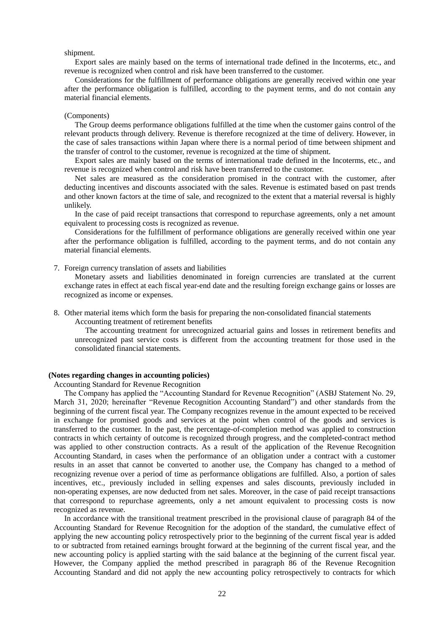#### shipment.

Export sales are mainly based on the terms of international trade defined in the Incoterms, etc., and revenue is recognized when control and risk have been transferred to the customer.

Considerations for the fulfillment of performance obligations are generally received within one year after the performance obligation is fulfilled, according to the payment terms, and do not contain any material financial elements.

#### (Components)

The Group deems performance obligations fulfilled at the time when the customer gains control of the relevant products through delivery. Revenue is therefore recognized at the time of delivery. However, in the case of sales transactions within Japan where there is a normal period of time between shipment and the transfer of control to the customer, revenue is recognized at the time of shipment.

Export sales are mainly based on the terms of international trade defined in the Incoterms, etc., and revenue is recognized when control and risk have been transferred to the customer.

Net sales are measured as the consideration promised in the contract with the customer, after deducting incentives and discounts associated with the sales. Revenue is estimated based on past trends and other known factors at the time of sale, and recognized to the extent that a material reversal is highly unlikely.

In the case of paid receipt transactions that correspond to repurchase agreements, only a net amount equivalent to processing costs is recognized as revenue.

Considerations for the fulfillment of performance obligations are generally received within one year after the performance obligation is fulfilled, according to the payment terms, and do not contain any material financial elements.

7. Foreign currency translation of assets and liabilities

Monetary assets and liabilities denominated in foreign currencies are translated at the current exchange rates in effect at each fiscal year-end date and the resulting foreign exchange gains or losses are recognized as income or expenses.

8. Other material items which form the basis for preparing the non-consolidated financial statements Accounting treatment of retirement benefits

The accounting treatment for unrecognized actuarial gains and losses in retirement benefits and unrecognized past service costs is different from the accounting treatment for those used in the consolidated financial statements.

#### **(Notes regarding changes in accounting policies)**

Accounting Standard for Revenue Recognition

The Company has applied the "Accounting Standard for Revenue Recognition" (ASBJ Statement No. 29, March 31, 2020; hereinafter "Revenue Recognition Accounting Standard") and other standards from the beginning of the current fiscal year. The Company recognizes revenue in the amount expected to be received in exchange for promised goods and services at the point when control of the goods and services is transferred to the customer. In the past, the percentage-of-completion method was applied to construction contracts in which certainty of outcome is recognized through progress, and the completed-contract method was applied to other construction contracts. As a result of the application of the Revenue Recognition Accounting Standard, in cases when the performance of an obligation under a contract with a customer results in an asset that cannot be converted to another use, the Company has changed to a method of recognizing revenue over a period of time as performance obligations are fulfilled. Also, a portion of sales incentives, etc., previously included in selling expenses and sales discounts, previously included in non-operating expenses, are now deducted from net sales. Moreover, in the case of paid receipt transactions that correspond to repurchase agreements, only a net amount equivalent to processing costs is now recognized as revenue.

In accordance with the transitional treatment prescribed in the provisional clause of paragraph 84 of the Accounting Standard for Revenue Recognition for the adoption of the standard, the cumulative effect of applying the new accounting policy retrospectively prior to the beginning of the current fiscal year is added to or subtracted from retained earnings brought forward at the beginning of the current fiscal year, and the new accounting policy is applied starting with the said balance at the beginning of the current fiscal year. However, the Company applied the method prescribed in paragraph 86 of the Revenue Recognition Accounting Standard and did not apply the new accounting policy retrospectively to contracts for which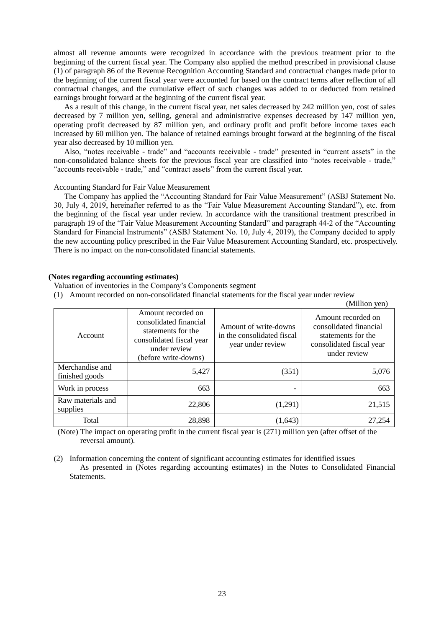almost all revenue amounts were recognized in accordance with the previous treatment prior to the beginning of the current fiscal year. The Company also applied the method prescribed in provisional clause (1) of paragraph 86 of the Revenue Recognition Accounting Standard and contractual changes made prior to the beginning of the current fiscal year were accounted for based on the contract terms after reflection of all contractual changes, and the cumulative effect of such changes was added to or deducted from retained earnings brought forward at the beginning of the current fiscal year.

As a result of this change, in the current fiscal year, net sales decreased by 242 million yen, cost of sales decreased by 7 million yen, selling, general and administrative expenses decreased by 147 million yen, operating profit decreased by 87 million yen, and ordinary profit and profit before income taxes each increased by 60 million yen. The balance of retained earnings brought forward at the beginning of the fiscal year also decreased by 10 million yen.

Also, "notes receivable - trade" and "accounts receivable - trade" presented in "current assets" in the non-consolidated balance sheets for the previous fiscal year are classified into "notes receivable - trade," "accounts receivable - trade," and "contract assets" from the current fiscal year.

#### Accounting Standard for Fair Value Measurement

The Company has applied the "Accounting Standard for Fair Value Measurement" (ASBJ Statement No. 30, July 4, 2019, hereinafter referred to as the "Fair Value Measurement Accounting Standard"), etc. from the beginning of the fiscal year under review. In accordance with the transitional treatment prescribed in paragraph 19 of the "Fair Value Measurement Accounting Standard" and paragraph 44-2 of the "Accounting Standard for Financial Instruments" (ASBJ Statement No. 10, July 4, 2019), the Company decided to apply the new accounting policy prescribed in the Fair Value Measurement Accounting Standard, etc. prospectively. There is no impact on the non-consolidated financial statements.

#### **(Notes regarding accounting estimates)**

Valuation of inventories in the Company's Components segment

(1) Amount recorded on non-consolidated financial statements for the fiscal year under review

|                                   |                                                                                                                                        |                                                                          | (Million yen)                                                                                                  |
|-----------------------------------|----------------------------------------------------------------------------------------------------------------------------------------|--------------------------------------------------------------------------|----------------------------------------------------------------------------------------------------------------|
| Account                           | Amount recorded on<br>consolidated financial<br>statements for the<br>consolidated fiscal year<br>under review<br>(before write-downs) | Amount of write-downs<br>in the consolidated fiscal<br>year under review | Amount recorded on<br>consolidated financial<br>statements for the<br>consolidated fiscal year<br>under review |
| Merchandise and<br>finished goods | 5,427                                                                                                                                  | (351)                                                                    | 5,076                                                                                                          |
| Work in process                   | 663                                                                                                                                    | $\overline{\phantom{0}}$                                                 | 663                                                                                                            |
| Raw materials and<br>supplies     | 22,806                                                                                                                                 | (1,291)                                                                  | 21,515                                                                                                         |
| Total                             | 28,898                                                                                                                                 | (1,643)                                                                  | 27.254                                                                                                         |

(Note) The impact on operating profit in the current fiscal year is (271) million yen (after offset of the reversal amount).

(2) Information concerning the content of significant accounting estimates for identified issues As presented in (Notes regarding accounting estimates) in the Notes to Consolidated Financial Statements.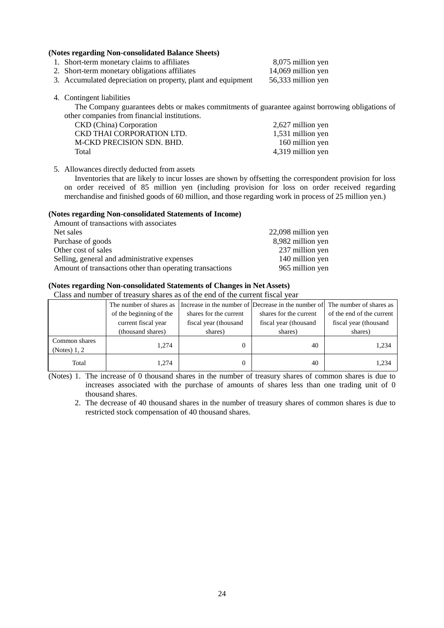## **(Notes regarding Non-consolidated Balance Sheets)**

- 1. Short-term monetary claims to affiliates 8,075 million yen
- 2. Short-term monetary obligations affiliates 14,069 million yen

3. Accumulated depreciation on property, plant and equipment 56,333 million yen

4. Contingent liabilities

The Company guarantees debts or makes commitments of guarantee against borrowing obligations of other companies from financial institutions.

| CKD (China) Corporation   | 2,627 million yen |
|---------------------------|-------------------|
| CKD THAI CORPORATION LTD. | 1,531 million yen |
| M-CKD PRECISION SDN. BHD. | 160 million yen   |
| Total                     | 4,319 million yen |
|                           |                   |

5. Allowances directly deducted from assets

Inventories that are likely to incur losses are shown by offsetting the correspondent provision for loss on order received of 85 million yen (including provision for loss on order received regarding merchandise and finished goods of 60 million, and those regarding work in process of 25 million yen.)

#### **(Notes regarding Non-consolidated Statements of Income)**

| Amount of transactions with associates                   |                    |
|----------------------------------------------------------|--------------------|
| Net sales                                                | 22,098 million yen |
| Purchase of goods                                        | 8,982 million yen  |
| Other cost of sales                                      | 237 million yen    |
| Selling, general and administrative expenses             | 140 million yen    |
| Amount of transactions other than operating transactions | 965 million yen    |
|                                                          |                    |

#### **(Notes regarding Non-consolidated Statements of Changes in Net Assets)** Class and number of treasury shares as of the end of the current fiscal year

| Class and humber of treasury shares as of the chu of the current fiscar year |                         |                        |                                                                             |                           |  |  |  |
|------------------------------------------------------------------------------|-------------------------|------------------------|-----------------------------------------------------------------------------|---------------------------|--|--|--|
|                                                                              | The number of shares as |                        | Increase in the number of Decrease in the number of The number of shares as |                           |  |  |  |
|                                                                              | of the beginning of the | shares for the current | shares for the current                                                      | of the end of the current |  |  |  |
|                                                                              | current fiscal year     | fiscal year (thousand  | fiscal year (thousand                                                       | fiscal year (thousand     |  |  |  |
|                                                                              | (thousand shares)       | shares)                | shares)                                                                     | shares)                   |  |  |  |
| Common shares<br>(Notes) $1, 2$                                              | 1.274                   |                        | 40                                                                          | 1,234                     |  |  |  |
| Total                                                                        | 1.274                   |                        | 40                                                                          | 1,234                     |  |  |  |

(Notes) 1. The increase of 0 thousand shares in the number of treasury shares of common shares is due to increases associated with the purchase of amounts of shares less than one trading unit of 0 thousand shares.

2. The decrease of 40 thousand shares in the number of treasury shares of common shares is due to restricted stock compensation of 40 thousand shares.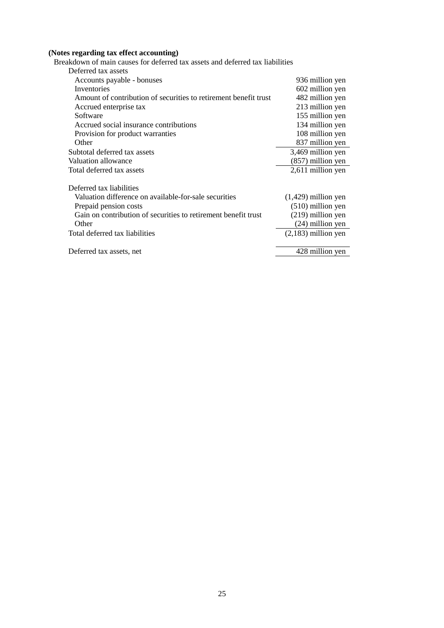### **(Notes regarding tax effect accounting)**

Breakdown of main causes for deferred tax assets and deferred tax liabilities

| Deferred tax assets                                              |                       |
|------------------------------------------------------------------|-----------------------|
| Accounts payable - bonuses                                       | 936 million yen       |
| Inventories                                                      | 602 million yen       |
| Amount of contribution of securities to retirement benefit trust | 482 million yen       |
| Accrued enterprise tax                                           | 213 million yen       |
| Software                                                         | 155 million yen       |
| Accrued social insurance contributions                           | 134 million yen       |
| Provision for product warranties                                 | 108 million yen       |
| Other                                                            | 837 million yen       |
| Subtotal deferred tax assets                                     | 3,469 million yen     |
| Valuation allowance                                              | $(857)$ million yen   |
| Total deferred tax assets                                        | 2,611 million yen     |
| Deferred tax liabilities                                         |                       |
| Valuation difference on available-for-sale securities            | $(1,429)$ million yen |
| Prepaid pension costs                                            | $(510)$ million yen   |
| Gain on contribution of securities to retirement benefit trust   | $(219)$ million yen   |
| Other                                                            | $(24)$ million yen    |
| Total deferred tax liabilities                                   | $(2,183)$ million yen |
| Deferred tax assets, net                                         | 428 million yen       |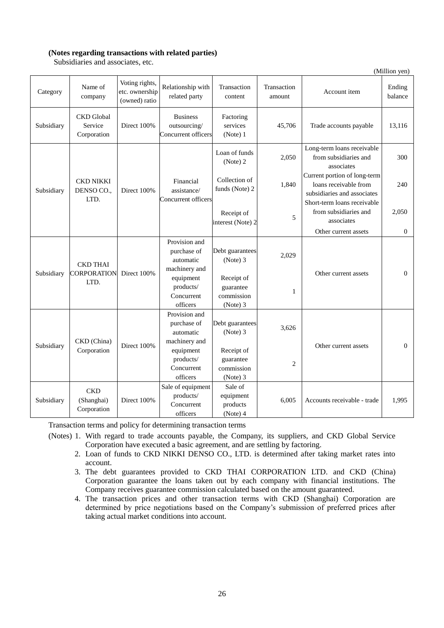## **(Notes regarding transactions with related parties)**

Subsidiaries and associates, etc.

|            |                                               |                                                   |                                                                         |                                                   |                       |                                                                                      | $(1$ vininun yun  |
|------------|-----------------------------------------------|---------------------------------------------------|-------------------------------------------------------------------------|---------------------------------------------------|-----------------------|--------------------------------------------------------------------------------------|-------------------|
| Category   | Name of<br>company                            | Voting rights,<br>etc. ownership<br>(owned) ratio | Relationship with<br>related party                                      | Transaction<br>content                            | Transaction<br>amount | Account item                                                                         | Ending<br>balance |
| Subsidiary | <b>CKD</b> Global<br>Service<br>Corporation   | Direct 100%                                       | <b>Business</b><br>outsourcing/<br>Concurrent officers                  | Factoring<br>services<br>(Note) 1                 | 45,706                | Trade accounts payable                                                               | 13,116            |
| Subsidiary | <b>CKD NIKKI</b><br>DENSO CO.,<br>LTD.        | Direct 100%                                       | Financial<br>assistance/<br>Concurrent officers                         | Loan of funds<br>(Note) 2                         | 2,050                 | Long-term loans receivable<br>from subsidiaries and<br>associates                    | 300               |
|            |                                               |                                                   |                                                                         | Collection of<br>funds (Note) 2                   | 1,840                 | Current portion of long-term<br>loans receivable from<br>subsidiaries and associates | 240               |
|            |                                               |                                                   |                                                                         | Receipt of<br>interest (Note) 2                   | 5                     | Short-term loans receivable<br>from subsidiaries and<br>associates                   | 2,050             |
|            |                                               |                                                   |                                                                         |                                                   |                       | Other current assets                                                                 | $\overline{0}$    |
| Subsidiary | <b>CKD THAI</b><br><b>CORPORATION</b><br>LTD. | Direct 100%                                       | Provision and<br>purchase of<br>automatic<br>machinery and<br>equipment | Debt guarantees<br>$(Note)$ 3<br>Receipt of       | 2,029                 | Other current assets                                                                 | $\overline{0}$    |
|            |                                               |                                                   | products/<br>Concurrent<br>officers                                     | guarantee<br>commission<br>(Note) 3               | 1                     |                                                                                      |                   |
| Subsidiary | CKD (China)<br>Corporation                    | Direct 100%                                       | Provision and<br>purchase of<br>automatic<br>machinery and              | Debt guarantees<br>$(Note)$ 3                     | 3,626                 |                                                                                      |                   |
|            |                                               |                                                   | equipment<br>products/<br>Concurrent<br>officers                        | Receipt of<br>guarantee<br>commission<br>(Note) 3 | $\overline{2}$        | Other current assets                                                                 | $\mathbf{0}$      |
| Subsidiary | <b>CKD</b><br>(Shanghai)<br>Corporation       | Direct 100%                                       | Sale of equipment<br>products/<br>Concurrent<br>officers                | Sale of<br>equipment<br>products<br>(Note) 4      | 6,005                 | Accounts receivable - trade                                                          | 1,995             |

 $(M<sup>2</sup>$ llion yon)

Transaction terms and policy for determining transaction terms

- (Notes) 1. With regard to trade accounts payable, the Company, its suppliers, and CKD Global Service Corporation have executed a basic agreement, and are settling by factoring.
	- 2. Loan of funds to CKD NIKKI DENSO CO., LTD. is determined after taking market rates into account.
	- 3. The debt guarantees provided to CKD THAI CORPORATION LTD. and CKD (China) Corporation guarantee the loans taken out by each company with financial institutions. The Company receives guarantee commission calculated based on the amount guaranteed.
	- 4. The transaction prices and other transaction terms with CKD (Shanghai) Corporation are determined by price negotiations based on the Company's submission of preferred prices after taking actual market conditions into account.